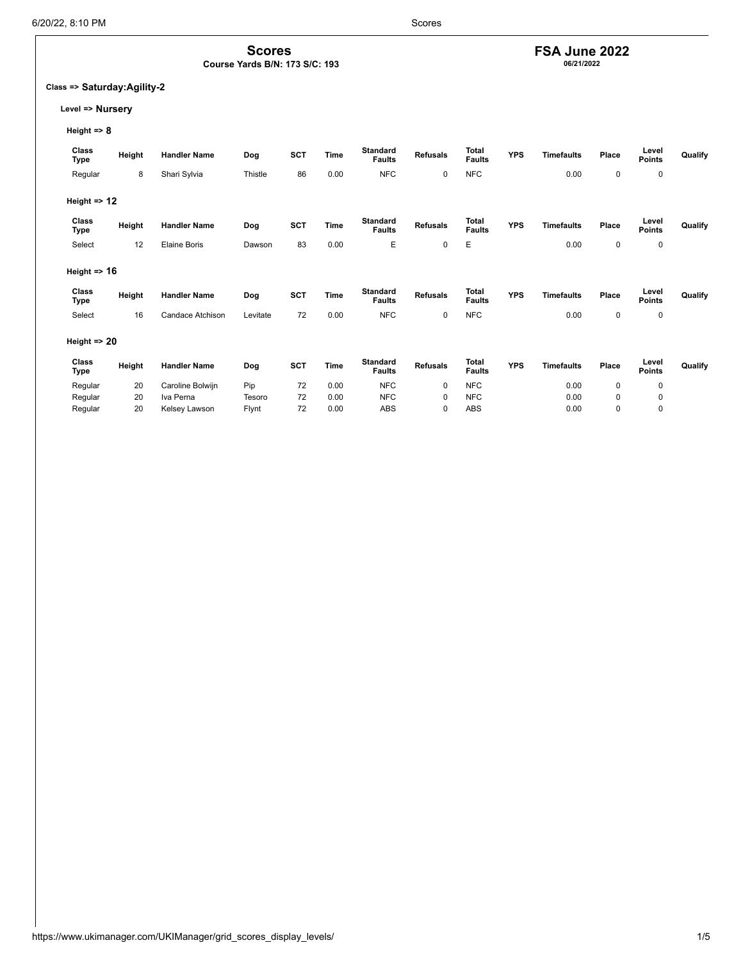## **FSA June 2022**

**06/21/2022**

### **Class => Saturday:Agility-2**

**Level => Nursery**

**Height => 8**

| Class<br>Type           | Height | <b>Handler Name</b> | Dog      | <b>SCT</b> | Time | <b>Standard</b><br><b>Faults</b> | <b>Refusals</b> | Total<br><b>Faults</b> | <b>YPS</b> | <b>Timefaults</b> | Place       | Level<br><b>Points</b> | Qualify |
|-------------------------|--------|---------------------|----------|------------|------|----------------------------------|-----------------|------------------------|------------|-------------------|-------------|------------------------|---------|
| Regular                 | 8      | Shari Sylvia        | Thistle  | 86         | 0.00 | <b>NFC</b>                       | 0               | <b>NFC</b>             |            | 0.00              | 0           | 0                      |         |
| Height $\Rightarrow$ 12 |        |                     |          |            |      |                                  |                 |                        |            |                   |             |                        |         |
| Class<br>Type           | Height | <b>Handler Name</b> | Dog      | SCT        | Time | <b>Standard</b><br><b>Faults</b> | <b>Refusals</b> | Total<br><b>Faults</b> | <b>YPS</b> | <b>Timefaults</b> | Place       | Level<br><b>Points</b> | Qualify |
| Select                  | 12     | <b>Elaine Boris</b> | Dawson   | 83         | 0.00 | E                                | $\mathbf 0$     | E                      |            | 0.00              | $\mathbf 0$ | $\mathbf 0$            |         |
| Height $\Rightarrow$ 16 |        |                     |          |            |      |                                  |                 |                        |            |                   |             |                        |         |
| Class<br>Type           | Height | <b>Handler Name</b> | Dog      | <b>SCT</b> | Time | <b>Standard</b><br><b>Faults</b> | <b>Refusals</b> | Total<br><b>Faults</b> | <b>YPS</b> | <b>Timefaults</b> | Place       | Level<br><b>Points</b> | Qualify |
| Select                  | 16     | Candace Atchison    | Levitate | 72         | 0.00 | <b>NFC</b>                       | $\mathbf 0$     | <b>NFC</b>             |            | 0.00              | $\mathbf 0$ | $\mathbf 0$            |         |
| Height $\Rightarrow$ 20 |        |                     |          |            |      |                                  |                 |                        |            |                   |             |                        |         |
| Class<br>Type           | Height | <b>Handler Name</b> | Dog      | <b>SCT</b> | Time | <b>Standard</b><br><b>Faults</b> | <b>Refusals</b> | Total<br><b>Faults</b> | <b>YPS</b> | <b>Timefaults</b> | Place       | Level<br><b>Points</b> | Qualify |
| Regular                 | 20     | Caroline Bolwijn    | Pip      | 72         | 0.00 | <b>NFC</b>                       | $\mathbf 0$     | <b>NFC</b>             |            | 0.00              | 0           | 0                      |         |
| Regular                 | 20     | Iva Perna           | Tesoro   | 72         | 0.00 | <b>NFC</b>                       | $\mathbf 0$     | <b>NFC</b>             |            | 0.00              | 0           | 0                      |         |
| Regular                 | 20     | Kelsey Lawson       | Flynt    | 72         | 0.00 | ABS                              | 0               | <b>ABS</b>             |            | 0.00              | $\mathbf 0$ | 0                      |         |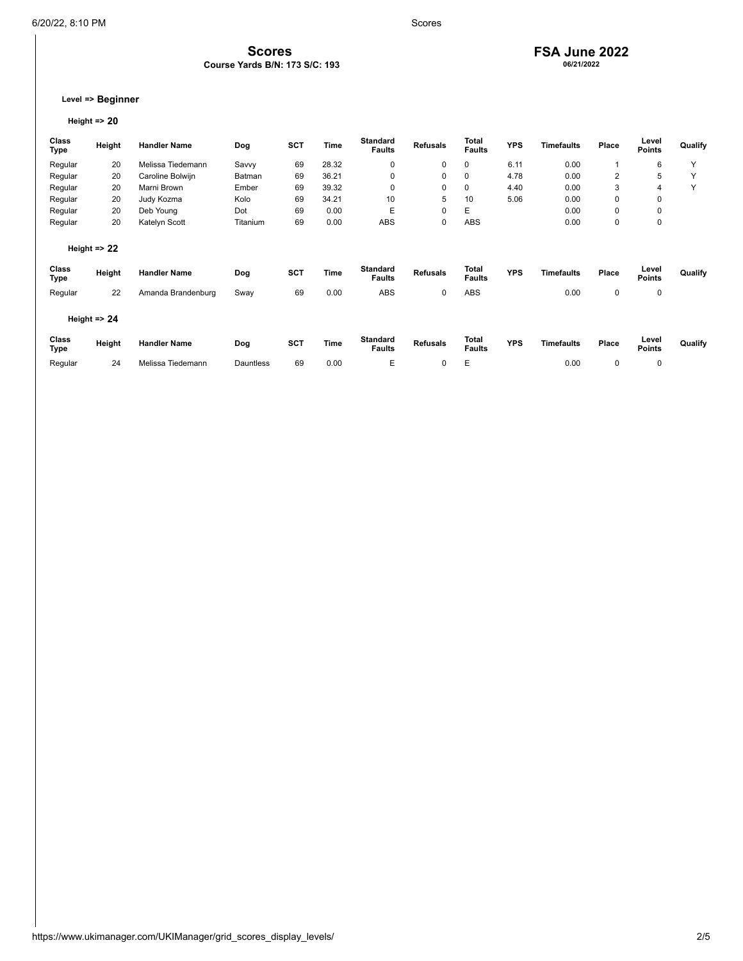#### **FSA June 2022 06/21/2022**

**Level => Beginner**

### **Height => 20**

| <b>Class</b><br>Type | Height                  | <b>Handler Name</b> | Dog      | <b>SCT</b> | Time  | <b>Standard</b><br><b>Faults</b> | <b>Refusals</b> | Total<br><b>Faults</b> | <b>YPS</b> | Timefaults        | Place       | Level<br><b>Points</b> | Qualify |
|----------------------|-------------------------|---------------------|----------|------------|-------|----------------------------------|-----------------|------------------------|------------|-------------------|-------------|------------------------|---------|
| Regular              | 20                      | Melissa Tiedemann   | Savvy    | 69         | 28.32 | 0                                | 0               | 0                      | 6.11       | 0.00              |             | 6                      | Y       |
| Regular              | 20                      | Caroline Bolwijn    | Batman   | 69         | 36.21 | 0                                | 0               | 0                      | 4.78       | 0.00              | 2           | 5                      | Υ       |
| Regular              | 20                      | Marni Brown         | Ember    | 69         | 39.32 | 0                                | 0               | 0                      | 4.40       | 0.00              | 3           | 4                      | Υ       |
| Regular              | 20                      | Judy Kozma          | Kolo     | 69         | 34.21 | 10                               | 5               | 10                     | 5.06       | 0.00              | $\mathbf 0$ | $\mathbf 0$            |         |
| Regular              | 20                      | Deb Young           | Dot      | 69         | 0.00  | Е                                | $\mathbf 0$     | E                      |            | 0.00              | 0           | 0                      |         |
| Regular              | 20                      | Katelyn Scott       | Titanium | 69         | 0.00  | <b>ABS</b>                       | 0               | ABS                    |            | 0.00              | $\mathbf 0$ | $\mathbf 0$            |         |
|                      | Height $\Rightarrow$ 22 |                     |          |            |       |                                  |                 |                        |            |                   |             |                        |         |
| Class<br>Type        | Height                  | <b>Handler Name</b> | Dog      | <b>SCT</b> | Time  | <b>Standard</b><br><b>Faults</b> | <b>Refusals</b> | Total<br><b>Faults</b> | <b>YPS</b> | <b>Timefaults</b> | Place       | Level<br><b>Points</b> | Qualify |
| Regular              | 22                      | Amanda Brandenburg  | Sway     | 69         | 0.00  | ABS                              | 0               | ABS                    |            | 0.00              | $\mathbf 0$ | $\mathbf 0$            |         |
|                      | Height $\Rightarrow$ 24 |                     |          |            |       |                                  |                 |                        |            |                   |             |                        |         |
| Class<br>Type        | Height                  | <b>Handler Name</b> | Dog      | <b>SCT</b> | Time  | Standard<br><b>Faults</b>        | <b>Refusals</b> | Total<br><b>Faults</b> | <b>YPS</b> | <b>Timefaults</b> | Place       | Level<br><b>Points</b> | Qualify |

Regular 24 Melissa Tiedemann Dauntless 69 0.00 E 0 E 0.00 0 0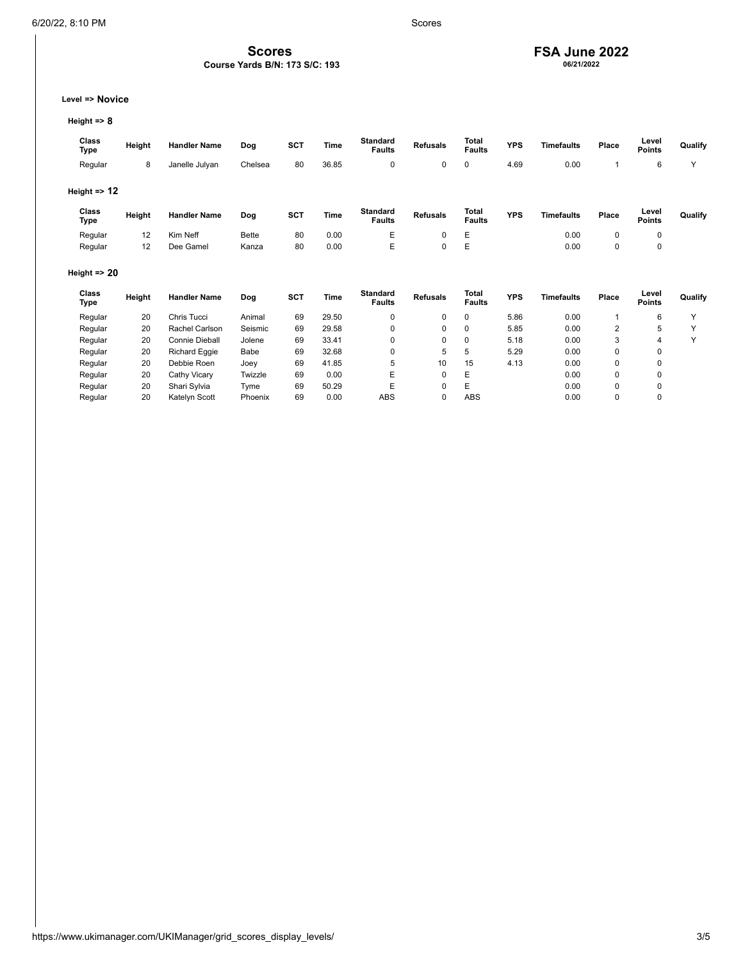## **FSA June 2022**

**06/21/2022**

**Level => Novice**

**Height => 8**

| Class<br>Type           | Height | <b>Handler Name</b> | Dog     | <b>SCT</b> | Time  | <b>Standard</b><br><b>Faults</b> | <b>Refusals</b> | Total<br><b>Faults</b> | <b>YPS</b> | <b>Timefaults</b> | Place | Level<br><b>Points</b> | Qualify |
|-------------------------|--------|---------------------|---------|------------|-------|----------------------------------|-----------------|------------------------|------------|-------------------|-------|------------------------|---------|
| Regular                 | 8      | Janelle Julyan      | Chelsea | 80         | 36.85 |                                  | 0               | 0                      | 4.69       | 0.00              |       | 6                      | v       |
| Height $\Rightarrow$ 12 |        |                     |         |            |       |                                  |                 |                        |            |                   |       |                        |         |
| Class<br>Type           | Height | <b>Handler Name</b> | Dog     | <b>SCT</b> | Time  | Standard<br><b>Faults</b>        | <b>Refusals</b> | Total<br><b>Faults</b> | <b>YPS</b> | <b>Timefaults</b> | Place | Level<br><b>Points</b> | Qualify |

Regular 12 Kim $N$ eff Bette 80 0.00 E 0 E 0.00 0 0 0 Regular 12 Dee Gamel Kanza 80 0.00 E 0 E 0.00 0 0

**Scores Course Yards B/N: 173 S/C: 193**

|  | Height $\Rightarrow$ 20 |  |  |
|--|-------------------------|--|--|
|--|-------------------------|--|--|

| <b>Class</b><br>Type | Height | <b>Handler Name</b>  | Dog     | <b>SCT</b> | Time  | <b>Standard</b><br><b>Faults</b> | <b>Refusals</b> | Total<br><b>Faults</b> | <b>YPS</b> | <b>Timefaults</b> | Place | Level<br><b>Points</b> | Qualify |
|----------------------|--------|----------------------|---------|------------|-------|----------------------------------|-----------------|------------------------|------------|-------------------|-------|------------------------|---------|
| Regular              | 20     | Chris Tucci          | Animal  | 69         | 29.50 |                                  | 0               | 0                      | 5.86       | 0.00              |       | 6                      |         |
| Regular              | 20     | Rachel Carlson       | Seismic | 69         | 29.58 |                                  |                 | 0                      | 5.85       | 0.00              | 2     | 5                      |         |
| Regular              | 20     | Connie Dieball       | Jolene  | 69         | 33.41 |                                  |                 | 0                      | 5.18       | 0.00              | 3     | 4                      |         |
| Regular              | 20     | <b>Richard Eggie</b> | Babe    | 69         | 32.68 |                                  | 5               | 5                      | 5.29       | 0.00              | 0     | 0                      |         |
| Regular              | 20     | Debbie Roen          | Joey    | 69         | 41.85 |                                  | 10              | 15                     | 4.13       | 0.00              | 0     | 0                      |         |
| Regular              | 20     | Cathy Vicary         | Twizzle | 69         | 0.00  | E                                |                 | Ε                      |            | 0.00              | 0     | 0                      |         |
| Regular              | 20     | Shari Svlvia         | Tyme    | 69         | 50.29 | E                                |                 | Ε                      |            | 0.00              | 0     | $\Omega$               |         |
| Regular              | 20     | Katelyn Scott        | Phoenix | 69         | 0.00  | ABS                              |                 | <b>ABS</b>             |            | 0.00              | 0     | 0                      |         |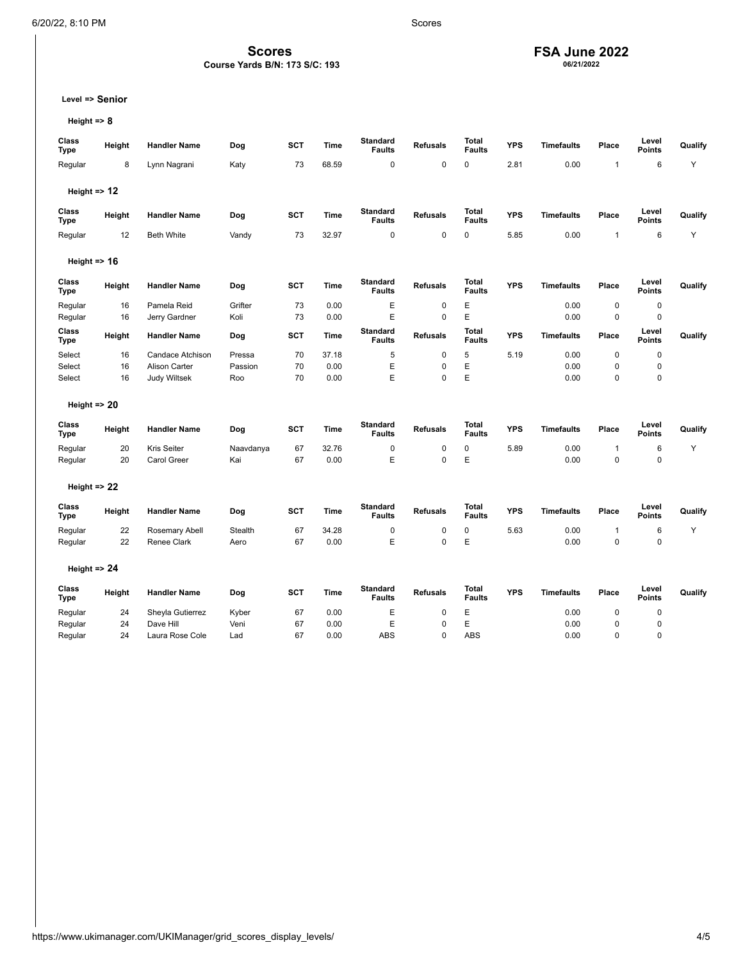# **FSA June 2022 06/21/2022**

**Level => Senior**

**Height => 8**

| Class<br><b>Type</b>    | Height | <b>Handler Name</b>  | Dog            | <b>SCT</b> | <b>Time</b> | <b>Standard</b><br><b>Faults</b> | <b>Refusals</b> | <b>Total</b><br><b>Faults</b> | <b>YPS</b> | <b>Timefaults</b> | Place        | Level<br><b>Points</b> | Qualify |
|-------------------------|--------|----------------------|----------------|------------|-------------|----------------------------------|-----------------|-------------------------------|------------|-------------------|--------------|------------------------|---------|
| Regular                 | 8      | Lynn Nagrani         | Katy           | 73         | 68.59       | $\mathbf 0$                      | $\mathsf 0$     | 0                             | 2.81       | 0.00              | $\mathbf{1}$ | 6                      | Y       |
|                         |        |                      |                |            |             |                                  |                 |                               |            |                   |              |                        |         |
| Height $\Rightarrow$ 12 |        |                      |                |            |             |                                  |                 |                               |            |                   |              |                        |         |
| Class<br><b>Type</b>    | Height | <b>Handler Name</b>  | Dog            | <b>SCT</b> | Time        | <b>Standard</b><br><b>Faults</b> | <b>Refusals</b> | Total<br><b>Faults</b>        | <b>YPS</b> | <b>Timefaults</b> | Place        | Level<br><b>Points</b> | Qualify |
| Regular                 | 12     | <b>Beth White</b>    | Vandy          | 73         | 32.97       | $\mathbf 0$                      | $\mathbf 0$     | 0                             | 5.85       | 0.00              | $\mathbf{1}$ | 6                      | Y       |
| Height $\Rightarrow$ 16 |        |                      |                |            |             |                                  |                 |                               |            |                   |              |                        |         |
| Class<br><b>Type</b>    | Height | <b>Handler Name</b>  | Dog            | <b>SCT</b> | Time        | <b>Standard</b><br><b>Faults</b> | <b>Refusals</b> | <b>Total</b><br><b>Faults</b> | <b>YPS</b> | <b>Timefaults</b> | Place        | Level<br><b>Points</b> | Qualify |
| Regular                 | 16     | Pamela Reid          | Grifter        | 73         | 0.00        | E                                | $\pmb{0}$       | E                             |            | 0.00              | $\mathbf 0$  | $\pmb{0}$              |         |
| Regular                 | 16     | Jerry Gardner        | Koli           | 73         | 0.00        | E                                | $\mathbf 0$     | E                             |            | 0.00              | $\mathbf 0$  | $\mathbf 0$            |         |
| Class<br>Type           | Height | <b>Handler Name</b>  | Dog            | <b>SCT</b> | Time        | <b>Standard</b><br><b>Faults</b> | <b>Refusals</b> | <b>Total</b><br><b>Faults</b> | <b>YPS</b> | <b>Timefaults</b> | Place        | Level<br><b>Points</b> | Qualify |
| Select                  | 16     | Candace Atchison     | Pressa         | 70         | 37.18       | 5                                | $\mathsf 0$     | 5                             | 5.19       | 0.00              | $\mathbf 0$  | $\pmb{0}$              |         |
| Select                  | 16     | <b>Alison Carter</b> | Passion        | 70         | 0.00        | E                                | 0               | E                             |            | 0.00              | $\mathbf 0$  | $\mathbf 0$            |         |
| Select                  | 16     | Judy Wiltsek         | Roo            | 70         | 0.00        | E                                | $\mathsf 0$     | E                             |            | 0.00              | $\mathbf 0$  | $\mathsf 0$            |         |
| Height $\Rightarrow$ 20 |        |                      |                |            |             |                                  |                 |                               |            |                   |              |                        |         |
| Class<br><b>Type</b>    | Height | <b>Handler Name</b>  | Dog            | SCT        | <b>Time</b> | <b>Standard</b><br><b>Faults</b> | <b>Refusals</b> | <b>Total</b><br><b>Faults</b> | <b>YPS</b> | <b>Timefaults</b> | Place        | Level<br><b>Points</b> | Qualify |
| Regular                 | 20     | Kris Seiter          | Naavdanya      | 67         | 32.76       | 0                                | 0               | 0                             | 5.89       | 0.00              | $\mathbf{1}$ | 6                      | Y       |
| Regular                 | 20     | Carol Greer          | Kai            | 67         | 0.00        | E                                | $\mathsf 0$     | E                             |            | 0.00              | $\mathbf 0$  | $\mathbf 0$            |         |
| Height $\Rightarrow$ 22 |        |                      |                |            |             |                                  |                 |                               |            |                   |              |                        |         |
| Class<br>Type           | Height | <b>Handler Name</b>  | Dog            | <b>SCT</b> | <b>Time</b> | <b>Standard</b><br><b>Faults</b> | <b>Refusals</b> | Total<br><b>Faults</b>        | <b>YPS</b> | <b>Timefaults</b> | Place        | Level<br><b>Points</b> | Qualify |
| Regular                 | 22     | Rosemary Abell       | <b>Stealth</b> | 67         | 34.28       | $\pmb{0}$                        | $\mathsf 0$     | 0                             | 5.63       | 0.00              | $\mathbf{1}$ | 6                      | Y       |
| Regular                 | 22     | Renee Clark          | Aero           | 67         | 0.00        | E                                | $\mathsf 0$     | E                             |            | 0.00              | $\mathbf 0$  | $\mathsf 0$            |         |
| Height $\Rightarrow$ 24 |        |                      |                |            |             |                                  |                 |                               |            |                   |              |                        |         |
| Class<br>Type           | Height | <b>Handler Name</b>  | Dog            | <b>SCT</b> | <b>Time</b> | <b>Standard</b><br><b>Faults</b> | <b>Refusals</b> | <b>Total</b><br><b>Faults</b> | <b>YPS</b> | <b>Timefaults</b> | Place        | Level<br><b>Points</b> | Qualify |
| Regular                 | 24     | Sheyla Gutierrez     | Kyber          | 67         | 0.00        | E                                | 0               | E                             |            | 0.00              | $\mathbf 0$  | $\mathbf 0$            |         |
| Regular                 | 24     | Dave Hill            | Veni           | 67         | 0.00        | E                                | $\mathsf 0$     | E                             |            | 0.00              | $\mathbf 0$  | $\mathsf 0$            |         |
| Regular                 | 24     | Laura Rose Cole      | Lad            | 67         | 0.00        | <b>ABS</b>                       | $\Omega$        | <b>ABS</b>                    |            | 0.00              | $\mathbf 0$  | $\Omega$               |         |